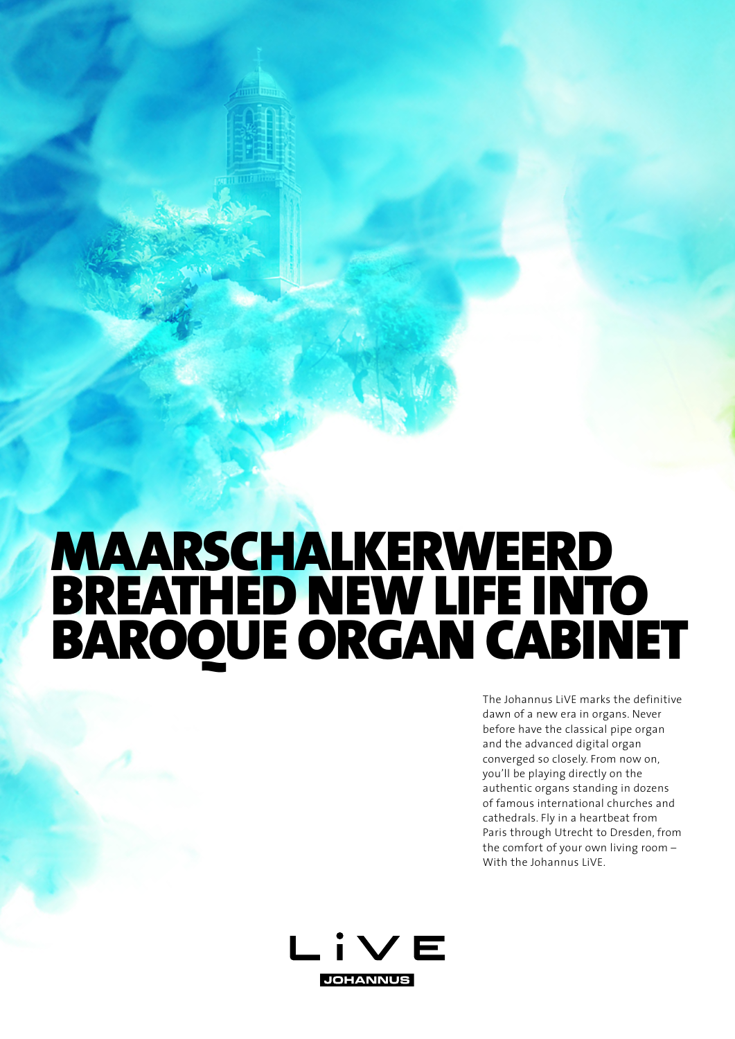## MAARSCHALKERWEERD BREATHED NEW LIFE INTO BAROQUE ORGAN CABINET

anni m

The Johannus LiVE marks the definitive dawn of a new era in organs. Never before have the classical pipe organ and the advanced digital organ converged so closely. From now on, you'll be playing directly on the authentic organs standing in dozens of famous international churches and cathedrals. Fly in a heartbeat from Paris through Utrecht to Dresden, from the comfort of your own living room – With the Johannus LiVE.